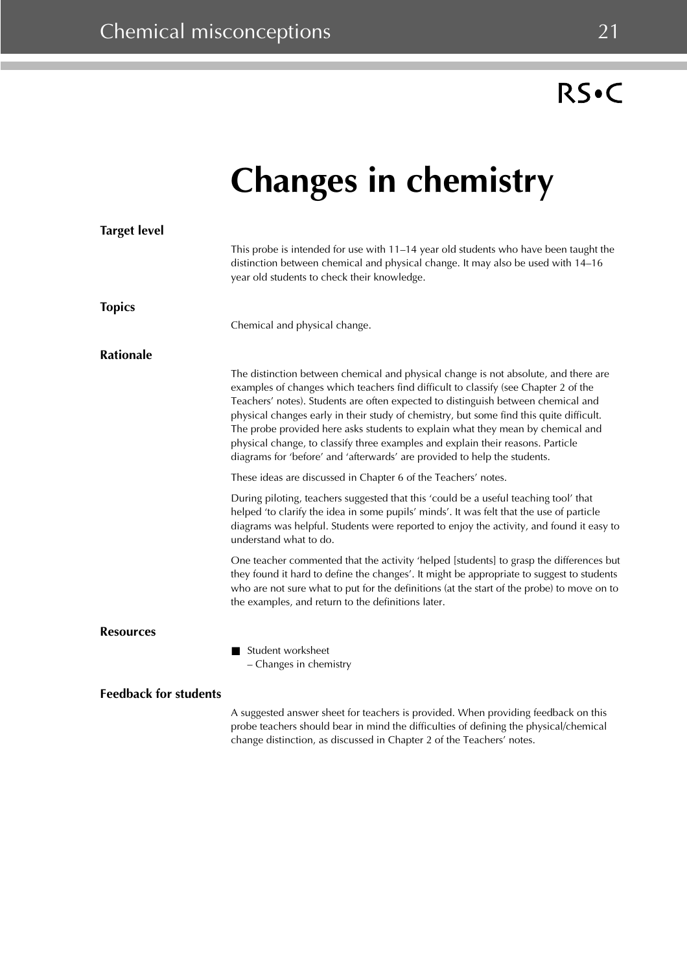### RS.C

## **Changes in chemistry**

| <b>Target level</b>          |                                                                                                                                                                                                                                                                                                                                                                                                                                                                                                                                                                                                               |
|------------------------------|---------------------------------------------------------------------------------------------------------------------------------------------------------------------------------------------------------------------------------------------------------------------------------------------------------------------------------------------------------------------------------------------------------------------------------------------------------------------------------------------------------------------------------------------------------------------------------------------------------------|
|                              | This probe is intended for use with $11-14$ year old students who have been taught the<br>distinction between chemical and physical change. It may also be used with 14-16<br>year old students to check their knowledge.                                                                                                                                                                                                                                                                                                                                                                                     |
| <b>Topics</b>                |                                                                                                                                                                                                                                                                                                                                                                                                                                                                                                                                                                                                               |
|                              | Chemical and physical change.                                                                                                                                                                                                                                                                                                                                                                                                                                                                                                                                                                                 |
| <b>Rationale</b>             |                                                                                                                                                                                                                                                                                                                                                                                                                                                                                                                                                                                                               |
|                              | The distinction between chemical and physical change is not absolute, and there are<br>examples of changes which teachers find difficult to classify (see Chapter 2 of the<br>Teachers' notes). Students are often expected to distinguish between chemical and<br>physical changes early in their study of chemistry, but some find this quite difficult.<br>The probe provided here asks students to explain what they mean by chemical and<br>physical change, to classify three examples and explain their reasons. Particle<br>diagrams for 'before' and 'afterwards' are provided to help the students. |
|                              | These ideas are discussed in Chapter 6 of the Teachers' notes.                                                                                                                                                                                                                                                                                                                                                                                                                                                                                                                                                |
|                              | During piloting, teachers suggested that this 'could be a useful teaching tool' that<br>helped 'to clarify the idea in some pupils' minds'. It was felt that the use of particle<br>diagrams was helpful. Students were reported to enjoy the activity, and found it easy to<br>understand what to do.                                                                                                                                                                                                                                                                                                        |
|                              | One teacher commented that the activity 'helped [students] to grasp the differences but<br>they found it hard to define the changes'. It might be appropriate to suggest to students<br>who are not sure what to put for the definitions (at the start of the probe) to move on to<br>the examples, and return to the definitions later.                                                                                                                                                                                                                                                                      |
| <b>Resources</b>             |                                                                                                                                                                                                                                                                                                                                                                                                                                                                                                                                                                                                               |
|                              | Student worksheet<br>■<br>- Changes in chemistry                                                                                                                                                                                                                                                                                                                                                                                                                                                                                                                                                              |
| <b>Feedback for students</b> |                                                                                                                                                                                                                                                                                                                                                                                                                                                                                                                                                                                                               |
|                              | A suggested answer sheet for teachers is provided. When providing feedback on this<br>in a contract to the contract of the contract of the contract of the contract of the contract of the contract of the contract of the contract of the contract of the contract of the contract of the contract of the contract                                                                                                                                                                                                                                                                                           |

probe teachers should bear in mind the difficulties of defining the physical/chemical change distinction, as discussed in Chapter 2 of the Teachers' notes.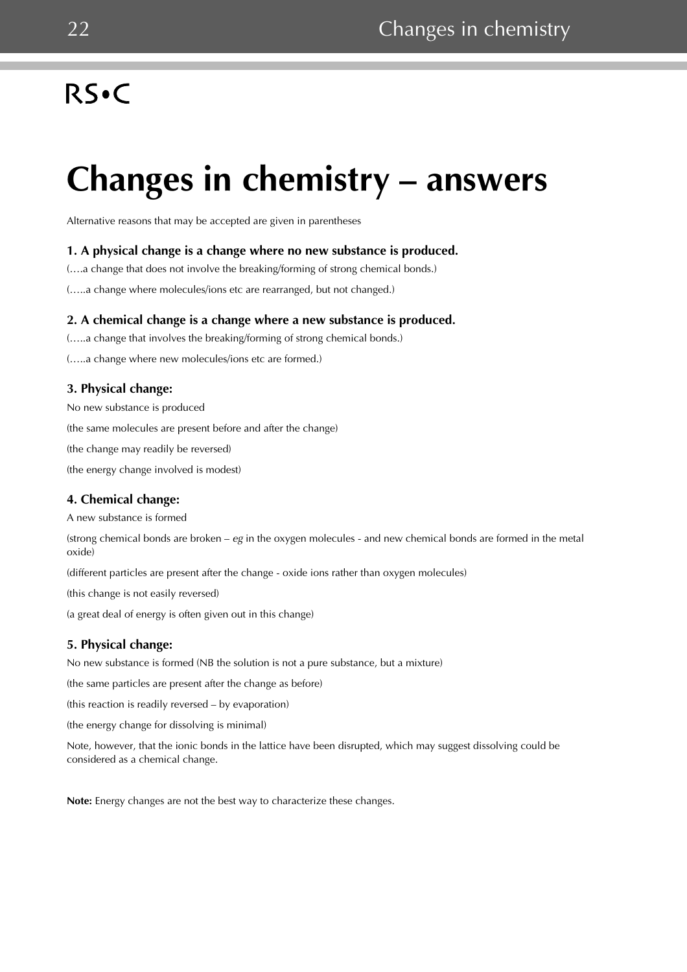### RS.C

## **Changes in chemistry – answers**

Alternative reasons that may be accepted are given in parentheses

#### **1. A physical change is a change where no new substance is produced.**

(….a change that does not involve the breaking/forming of strong chemical bonds.)

(…..a change where molecules/ions etc are rearranged, but not changed.)

#### **2. A chemical change is a change where a new substance is produced.**

(…..a change that involves the breaking/forming of strong chemical bonds.)

(…..a change where new molecules/ions etc are formed.)

#### **3. Physical change:**

No new substance is produced (the same molecules are present before and after the change) (the change may readily be reversed) (the energy change involved is modest)

#### **4. Chemical change:**

A new substance is formed

(strong chemical bonds are broken – *eg* in the oxygen molecules - and new chemical bonds are formed in the metal oxide)

(different particles are present after the change - oxide ions rather than oxygen molecules)

(this change is not easily reversed)

(a great deal of energy is often given out in this change)

#### **5. Physical change:**

No new substance is formed (NB the solution is not a pure substance, but a mixture)

(the same particles are present after the change as before)

(this reaction is readily reversed – by evaporation)

(the energy change for dissolving is minimal)

Note, however, that the ionic bonds in the lattice have been disrupted, which may suggest dissolving could be considered as a chemical change.

**Note:** Energy changes are not the best way to characterize these changes.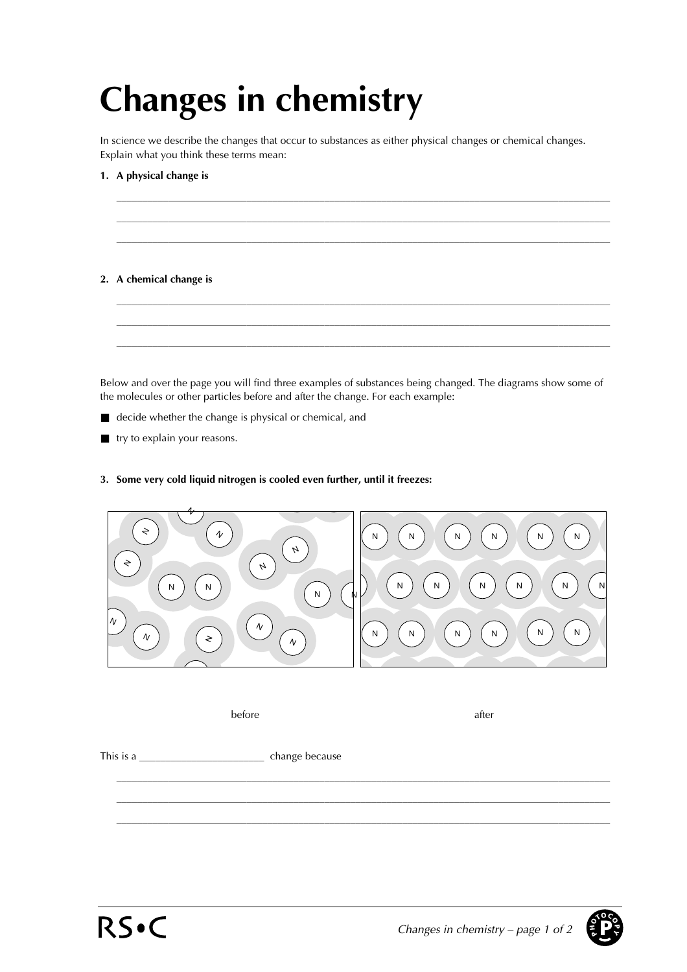# **Changes in chemistry**

In science we describe the changes that occur to substances as either physical changes or chemical changes. Explain what you think these terms mean:

 $\Box$  $\overline{\phantom{a}}$  , and the contribution of the contribution of the contribution of the contribution of the contribution of the contribution of the contribution of the contribution of the contribution of the contribution of the  $\overline{\phantom{a}}$  , and the contribution of the contribution of the contribution of the contribution of the contribution of the contribution of the contribution of the contribution of the contribution of the contribution of the

 $\overline{\phantom{a}}$  , and the contribution of the contribution of the contribution of the contribution of the contribution of the contribution of the contribution of the contribution of the contribution of the contribution of the  $\overline{\phantom{a}}$  , and the contribution of the contribution of the contribution of the contribution of the contribution of the contribution of the contribution of the contribution of the contribution of the contribution of the  $\overline{\phantom{a}}$  , and the contribution of the contribution of the contribution of the contribution of the contribution of the contribution of the contribution of the contribution of the contribution of the contribution of the

#### **1. A physical change is**

#### **2. A chemical change is**

Below and over the page you will find three examples of substances being changed. The diagrams show some of the molecules or other particles before and after the change. For each example:

- decide whether the change is physical or chemical, and
- try to explain your reasons.

#### **3. Some very cold liquid nitrogen is cooled even further, until it freezes:**



 $\Box$  $\Box$  $\overline{\phantom{a}}$  , and the contribution of the contribution of the contribution of the contribution of the contribution of the contribution of the contribution of the contribution of the contribution of the contribution of the

before and a structure of the structure of the structure of the structure of the structure of the structure of the structure of the structure of the structure of the structure of the structure of the structure of the struc

This is a \_\_\_\_\_\_\_\_\_\_\_\_\_\_\_\_\_\_\_\_\_\_\_\_ change because